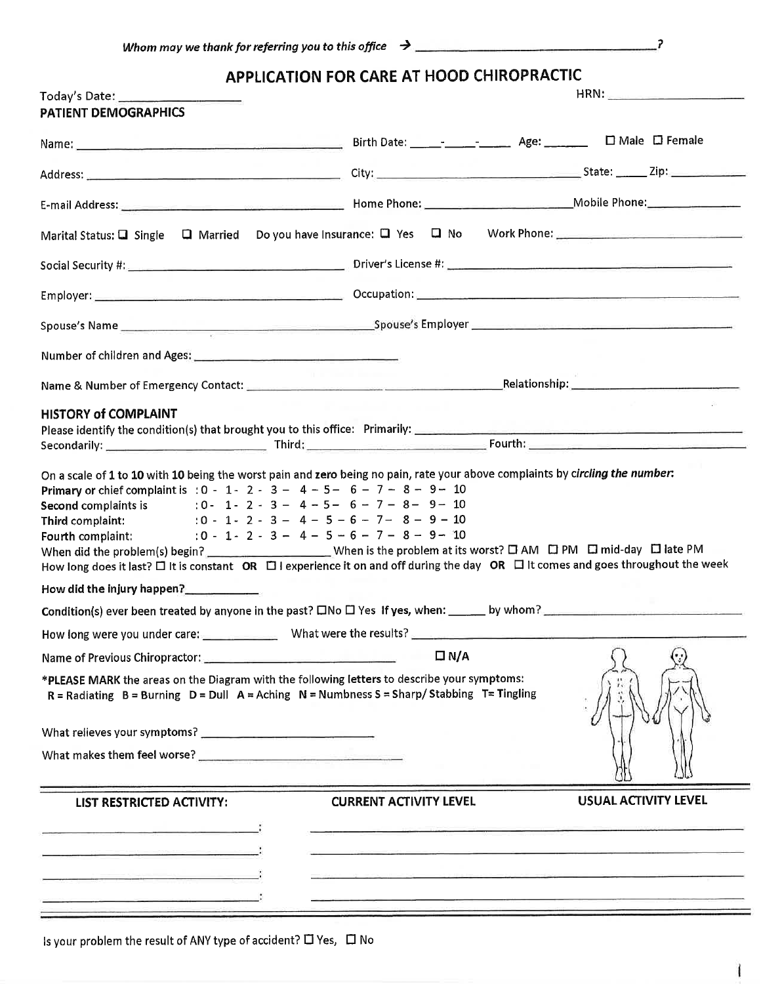# APPLICATION FOR CARE AT HOOD CHIROPRACTIC

| <b>PATIENT DEMOGRAPHICS</b>                                                                                                                                                                                                                                                                                                                                                                                                                                                                                                                                                                                                                                                                                |                                                                                                                 |                                                                                                                                                                                                                               | HRN:                 |
|------------------------------------------------------------------------------------------------------------------------------------------------------------------------------------------------------------------------------------------------------------------------------------------------------------------------------------------------------------------------------------------------------------------------------------------------------------------------------------------------------------------------------------------------------------------------------------------------------------------------------------------------------------------------------------------------------------|-----------------------------------------------------------------------------------------------------------------|-------------------------------------------------------------------------------------------------------------------------------------------------------------------------------------------------------------------------------|----------------------|
|                                                                                                                                                                                                                                                                                                                                                                                                                                                                                                                                                                                                                                                                                                            |                                                                                                                 |                                                                                                                                                                                                                               |                      |
|                                                                                                                                                                                                                                                                                                                                                                                                                                                                                                                                                                                                                                                                                                            |                                                                                                                 |                                                                                                                                                                                                                               |                      |
|                                                                                                                                                                                                                                                                                                                                                                                                                                                                                                                                                                                                                                                                                                            |                                                                                                                 |                                                                                                                                                                                                                               |                      |
| Marital Status: Q Single Q Married Do you have Insurance: Q Yes Q No Work Phone:                                                                                                                                                                                                                                                                                                                                                                                                                                                                                                                                                                                                                           |                                                                                                                 |                                                                                                                                                                                                                               |                      |
|                                                                                                                                                                                                                                                                                                                                                                                                                                                                                                                                                                                                                                                                                                            |                                                                                                                 |                                                                                                                                                                                                                               |                      |
|                                                                                                                                                                                                                                                                                                                                                                                                                                                                                                                                                                                                                                                                                                            |                                                                                                                 |                                                                                                                                                                                                                               |                      |
|                                                                                                                                                                                                                                                                                                                                                                                                                                                                                                                                                                                                                                                                                                            |                                                                                                                 |                                                                                                                                                                                                                               |                      |
|                                                                                                                                                                                                                                                                                                                                                                                                                                                                                                                                                                                                                                                                                                            |                                                                                                                 |                                                                                                                                                                                                                               |                      |
|                                                                                                                                                                                                                                                                                                                                                                                                                                                                                                                                                                                                                                                                                                            |                                                                                                                 |                                                                                                                                                                                                                               |                      |
| <b>HISTORY of COMPLAINT</b><br>Please identify the condition(s) that brought you to this office: Primarily:                                                                                                                                                                                                                                                                                                                                                                                                                                                                                                                                                                                                |                                                                                                                 |                                                                                                                                                                                                                               |                      |
| On a scale of 1 to 10 with 10 being the worst pain and zero being no pain, rate your above complaints by circling the number:<br>Primary or chief complaint is : $0 - 1 - 2 - 3 - 4 - 5 - 6 - 7 - 8 - 9 - 10$<br>Second complaints is $10 - 1 - 2 - 3 - 4 - 5 - 6 - 7 - 8 - 9 - 10$<br>Third complaint: $10 - 1 - 2 - 3 - 4 - 5 - 6 - 7 - 8 - 9 - 10$<br>Fourth complaint: $0 - 1 - 2 - 3 - 4 - 5 - 6 - 7 - 8 - 9 - 10$<br>When did the problem(s) begin? _______________________When is the problem at its worst? O AM [O] PM [O] mid-day [O] late PM<br>How long does it last? $\Box$ It is constant OR $\Box$ I experience it on and off during the day OR $\Box$ It comes and goes throughout the week |                                                                                                                 |                                                                                                                                                                                                                               |                      |
| How did the injury happen?                                                                                                                                                                                                                                                                                                                                                                                                                                                                                                                                                                                                                                                                                 |                                                                                                                 |                                                                                                                                                                                                                               |                      |
|                                                                                                                                                                                                                                                                                                                                                                                                                                                                                                                                                                                                                                                                                                            |                                                                                                                 |                                                                                                                                                                                                                               |                      |
|                                                                                                                                                                                                                                                                                                                                                                                                                                                                                                                                                                                                                                                                                                            |                                                                                                                 |                                                                                                                                                                                                                               |                      |
| *PLEASE MARK the areas on the Diagram with the following letters to describe your symptoms:<br>R = Radiating $B =$ Burning $D =$ Dull $A =$ Aching $N =$ Numbness S = Sharp/Stabbing T= Tingling                                                                                                                                                                                                                                                                                                                                                                                                                                                                                                           | $\Box N/A$                                                                                                      |                                                                                                                                                                                                                               |                      |
|                                                                                                                                                                                                                                                                                                                                                                                                                                                                                                                                                                                                                                                                                                            |                                                                                                                 |                                                                                                                                                                                                                               |                      |
|                                                                                                                                                                                                                                                                                                                                                                                                                                                                                                                                                                                                                                                                                                            |                                                                                                                 |                                                                                                                                                                                                                               |                      |
| LIST RESTRICTED ACTIVITY:                                                                                                                                                                                                                                                                                                                                                                                                                                                                                                                                                                                                                                                                                  | <b>CURRENT ACTIVITY LEVEL</b>                                                                                   | The control of the control of the control of the control of the control of the control of the control of the control of the control of the control of the control of the control of the control of the control of the control | USUAL ACTIVITY LEVEL |
| <u> The Communication of the Communication of the Communication of the Communication of the Communication of the Communication of the Communication of the Communication of the Communication of the Communication of the Commun</u><br><u> 1950 - Talland Maria Barat de L</u>                                                                                                                                                                                                                                                                                                                                                                                                                            |                                                                                                                 |                                                                                                                                                                                                                               |                      |
| the contract of the property of the contract of the con-<br>.<br>2001 – Warren Bernstein, amerikansk politiker († 1820)                                                                                                                                                                                                                                                                                                                                                                                                                                                                                                                                                                                    | the projection of the control of the first state of the control of the control of the control of the control of |                                                                                                                                                                                                                               |                      |
|                                                                                                                                                                                                                                                                                                                                                                                                                                                                                                                                                                                                                                                                                                            |                                                                                                                 |                                                                                                                                                                                                                               |                      |

 $\mathbf{I}$ 

ls your problem the result of ANY type of accident? □ Yes, □ No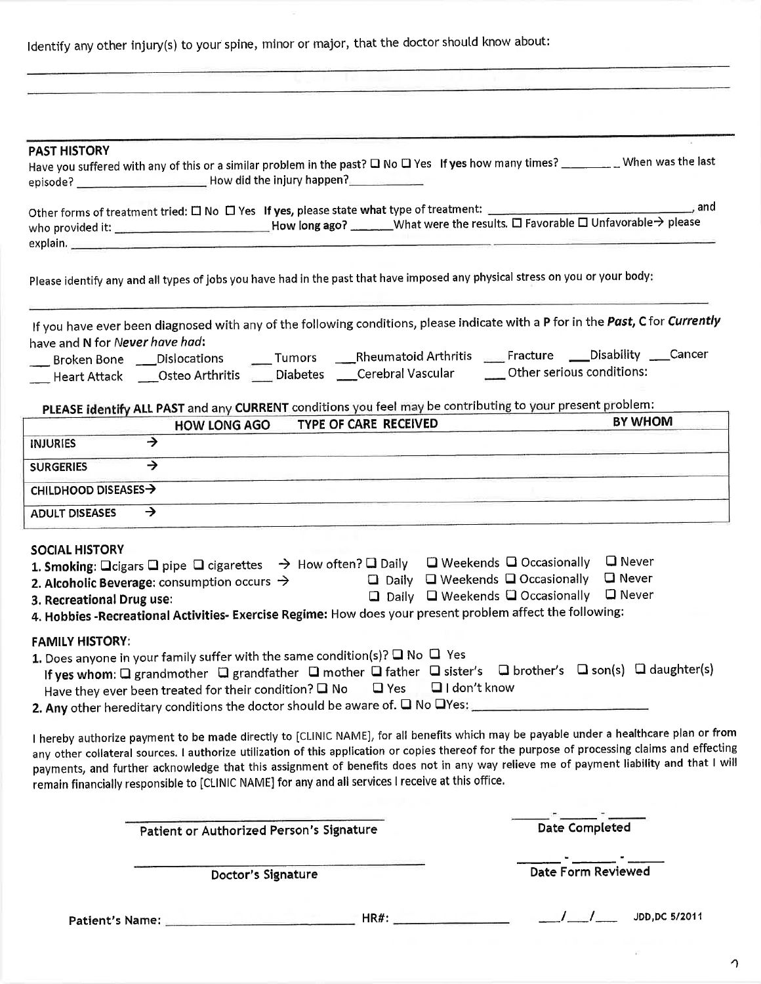ldentify any other injury(s) to your spine, minor or major, that the doctor shoutd know about:

| <b>PAST HISTORY</b>                                                                                                                                                                                                                                                                                                                                                                                                                                                                                                                                                                                                                                                                                                                                                                                              |                                          |                                                                                                                                                                                                                                      | Have you suffered with any of this or a similar problem in the past? Q No Q Yes If yes how many times? ____________ When was the last                                                                                                                                                                                                                                                                                                                                                                                                                                                                                                                               |
|------------------------------------------------------------------------------------------------------------------------------------------------------------------------------------------------------------------------------------------------------------------------------------------------------------------------------------------------------------------------------------------------------------------------------------------------------------------------------------------------------------------------------------------------------------------------------------------------------------------------------------------------------------------------------------------------------------------------------------------------------------------------------------------------------------------|------------------------------------------|--------------------------------------------------------------------------------------------------------------------------------------------------------------------------------------------------------------------------------------|---------------------------------------------------------------------------------------------------------------------------------------------------------------------------------------------------------------------------------------------------------------------------------------------------------------------------------------------------------------------------------------------------------------------------------------------------------------------------------------------------------------------------------------------------------------------------------------------------------------------------------------------------------------------|
| episode? _______________________________How did the injury happen? _____________                                                                                                                                                                                                                                                                                                                                                                                                                                                                                                                                                                                                                                                                                                                                 |                                          |                                                                                                                                                                                                                                      |                                                                                                                                                                                                                                                                                                                                                                                                                                                                                                                                                                                                                                                                     |
|                                                                                                                                                                                                                                                                                                                                                                                                                                                                                                                                                                                                                                                                                                                                                                                                                  |                                          |                                                                                                                                                                                                                                      |                                                                                                                                                                                                                                                                                                                                                                                                                                                                                                                                                                                                                                                                     |
|                                                                                                                                                                                                                                                                                                                                                                                                                                                                                                                                                                                                                                                                                                                                                                                                                  |                                          |                                                                                                                                                                                                                                      | Other forms of treatment tried: $\Box$ No $\Box$ Yes If yes, please state what type of treatment: $\Box$<br>who provided it: _________________________________How long ago? ________What were the results. $\Box$ Favorable $\Box$ Unfavorable $\rightarrow$ please                                                                                                                                                                                                                                                                                                                                                                                                 |
|                                                                                                                                                                                                                                                                                                                                                                                                                                                                                                                                                                                                                                                                                                                                                                                                                  |                                          |                                                                                                                                                                                                                                      |                                                                                                                                                                                                                                                                                                                                                                                                                                                                                                                                                                                                                                                                     |
|                                                                                                                                                                                                                                                                                                                                                                                                                                                                                                                                                                                                                                                                                                                                                                                                                  |                                          |                                                                                                                                                                                                                                      |                                                                                                                                                                                                                                                                                                                                                                                                                                                                                                                                                                                                                                                                     |
| Please identify any and all types of jobs you have had in the past that have imposed any physical stress on you or your body:                                                                                                                                                                                                                                                                                                                                                                                                                                                                                                                                                                                                                                                                                    |                                          |                                                                                                                                                                                                                                      |                                                                                                                                                                                                                                                                                                                                                                                                                                                                                                                                                                                                                                                                     |
| have and N for Never have had:                                                                                                                                                                                                                                                                                                                                                                                                                                                                                                                                                                                                                                                                                                                                                                                   |                                          |                                                                                                                                                                                                                                      | If you have ever been diagnosed with any of the following conditions, please indicate with a P for in the Past, C for Currently                                                                                                                                                                                                                                                                                                                                                                                                                                                                                                                                     |
|                                                                                                                                                                                                                                                                                                                                                                                                                                                                                                                                                                                                                                                                                                                                                                                                                  |                                          |                                                                                                                                                                                                                                      | Broken Bone ___Dislocations _____Tumors ____Rheumatoid Arthritis ____Fracture ___Disability ___Cancer                                                                                                                                                                                                                                                                                                                                                                                                                                                                                                                                                               |
| Heart Attack ____Osteo Arthritis _____Diabetes ____Cerebral Vascular ______Other serious conditions:                                                                                                                                                                                                                                                                                                                                                                                                                                                                                                                                                                                                                                                                                                             |                                          |                                                                                                                                                                                                                                      |                                                                                                                                                                                                                                                                                                                                                                                                                                                                                                                                                                                                                                                                     |
|                                                                                                                                                                                                                                                                                                                                                                                                                                                                                                                                                                                                                                                                                                                                                                                                                  |                                          |                                                                                                                                                                                                                                      |                                                                                                                                                                                                                                                                                                                                                                                                                                                                                                                                                                                                                                                                     |
| PLEASE identify ALL PAST and any CURRENT conditions you feel may be contributing to your present problem:                                                                                                                                                                                                                                                                                                                                                                                                                                                                                                                                                                                                                                                                                                        |                                          |                                                                                                                                                                                                                                      |                                                                                                                                                                                                                                                                                                                                                                                                                                                                                                                                                                                                                                                                     |
|                                                                                                                                                                                                                                                                                                                                                                                                                                                                                                                                                                                                                                                                                                                                                                                                                  | <b>HOW LONG AGO</b>                      | <b>TYPE OF CARE RECEIVED</b>                                                                                                                                                                                                         | <b>BY WHOM</b>                                                                                                                                                                                                                                                                                                                                                                                                                                                                                                                                                                                                                                                      |
| $\rightarrow$<br><b>INJURIES</b>                                                                                                                                                                                                                                                                                                                                                                                                                                                                                                                                                                                                                                                                                                                                                                                 |                                          |                                                                                                                                                                                                                                      |                                                                                                                                                                                                                                                                                                                                                                                                                                                                                                                                                                                                                                                                     |
| $\rightarrow$<br><b>SURGERIES</b>                                                                                                                                                                                                                                                                                                                                                                                                                                                                                                                                                                                                                                                                                                                                                                                |                                          | the contract of the contract of the contract of the contract of the contract of the contract of the contract of                                                                                                                      |                                                                                                                                                                                                                                                                                                                                                                                                                                                                                                                                                                                                                                                                     |
| CHILDHOOD DISEASES→                                                                                                                                                                                                                                                                                                                                                                                                                                                                                                                                                                                                                                                                                                                                                                                              |                                          | <u> 1989 - John Harry Harry Harry Harry Harry Harry Harry Harry Harry Harry Harry Harry Harry Harry Harry Harry Harry Harry Harry Harry Harry Harry Harry Harry Harry Harry Harry Harry Harry Harry Harry Harry Harry Harry Harr</u> |                                                                                                                                                                                                                                                                                                                                                                                                                                                                                                                                                                                                                                                                     |
| $\rightarrow$<br><b>ADULT DISEASES</b>                                                                                                                                                                                                                                                                                                                                                                                                                                                                                                                                                                                                                                                                                                                                                                           |                                          | .<br>1980 - Paul III, amerikansk politik (* 1915 - 1920)                                                                                                                                                                             |                                                                                                                                                                                                                                                                                                                                                                                                                                                                                                                                                                                                                                                                     |
| <b>SOCIAL HISTORY</b><br>1. Smoking: $\Box$ cigars $\Box$ pipe $\Box$ cigarettes $\rightarrow$ How often? $\Box$ Daily $\Box$ Weekends $\Box$ Occasionally<br><b>2. Alcoholic Beverage:</b> consumption occurs $\rightarrow$ $\Box$ Daily $\Box$ Weekends $\Box$ Occasionally<br>3. Recreational Drug use:<br>4. Hobbies - Recreational Activities- Exercise Regime: How does your present problem affect the following:<br><b>FAMILY HISTORY:</b><br>1. Does anyone in your family suffer with the same condition(s)? $\Box$ No $\Box$ Yes<br>Have they ever been treated for their condition? $\Box$ No<br>2. Any other hereditary conditions the doctor should be aware of. $\square$ No $\square$ Yes:<br>remain financially responsible to [CLINIC NAME] for any and all services I receive at this office. |                                          | $\Box$ Daily $\Box$ Weekends $\Box$ Occasionally<br>$\Box$ I don't know<br>$\square$ Yes                                                                                                                                             | $\Box$ Never<br><b>Q</b> Never<br>$\square$ Never<br>If yes whom: $\square$ grandmother $\square$ grandfather $\square$ mother $\square$ father $\square$ sister's $\square$ brother's $\square$ son(s) $\square$ daughter(s)<br>I hereby authorize payment to be made directly to [CLINIC NAME], for all benefits which may be payable under a healthcare plan or from<br>any other collateral sources. I authorize utilization of this application or copies thereof for the purpose of processing claims and effecting<br>payments, and further acknowledge that this assignment of benefits does not in any way relieve me of payment liability and that I will |
|                                                                                                                                                                                                                                                                                                                                                                                                                                                                                                                                                                                                                                                                                                                                                                                                                  | Patient or Authorized Person's Signature |                                                                                                                                                                                                                                      | __ - _____ - ____<br>Date Completed                                                                                                                                                                                                                                                                                                                                                                                                                                                                                                                                                                                                                                 |
|                                                                                                                                                                                                                                                                                                                                                                                                                                                                                                                                                                                                                                                                                                                                                                                                                  | Doctor's Signature                       |                                                                                                                                                                                                                                      | Date Form Reviewed                                                                                                                                                                                                                                                                                                                                                                                                                                                                                                                                                                                                                                                  |
|                                                                                                                                                                                                                                                                                                                                                                                                                                                                                                                                                                                                                                                                                                                                                                                                                  |                                          |                                                                                                                                                                                                                                      | JDD, DC 5/2011                                                                                                                                                                                                                                                                                                                                                                                                                                                                                                                                                                                                                                                      |

**CONTRACTOR** 

 $\gamma$ 

 $\downarrow$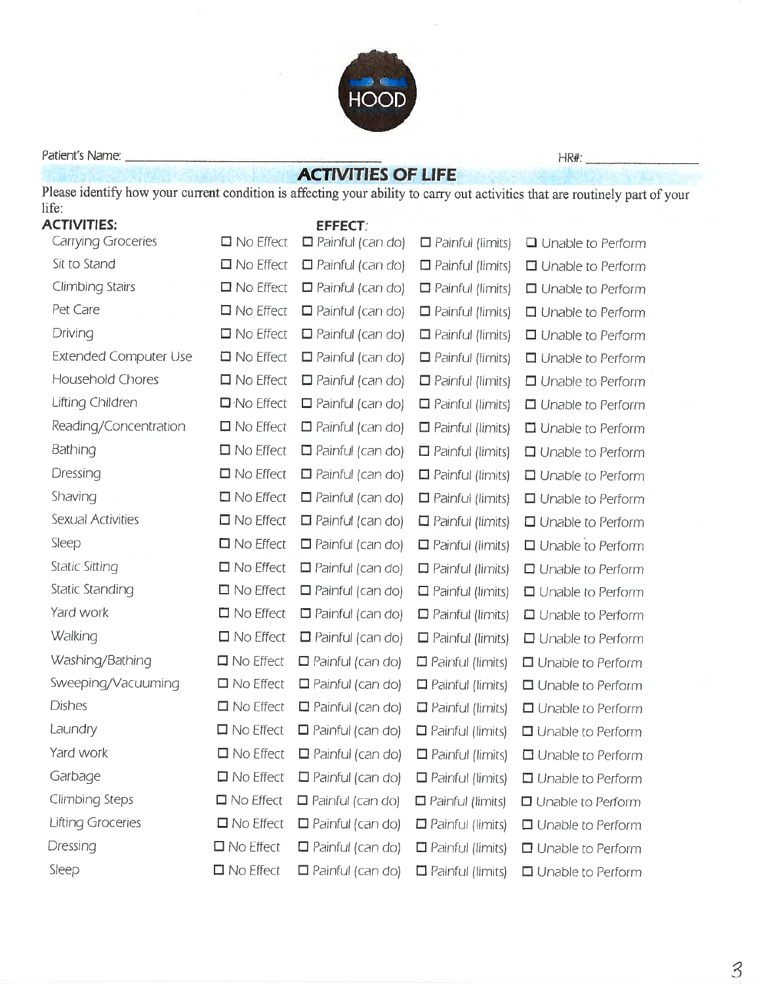

## Patient's Name: HR#:<br> **ACTIVITIES OF LIFE ACTIVITIES OF LIFE**

Please identify how your current condition is affecting your ability to carry out activities that are routinely part of your life: ACTIVITIES: EFFECT:

| Carrying Groceries           | $\Box$ No Effect    | $\Box$ Painful (can do)    | $\Box$ Painful (limits) | $\Box$ Unable to Perform |
|------------------------------|---------------------|----------------------------|-------------------------|--------------------------|
| Sit to Stand                 | □ No Effect         | $\Box$ Painful (can do)    | $\Box$ Painful (limits) | $\Box$ Unable to Perform |
| Climbing Stairs              | $\Box$ No Effect    | $\Box$ Painful (can do)    | $\Box$ Painful (limits) | $\Box$ Unable to Perform |
| Pet Care                     | $\square$ No Effect | $\Box$ Painful (can do)    | $\Box$ Painful (limits) | $\Box$ Unable to Perform |
| Driving                      | $\Box$ No Effect    | $\Box$ Painful (can do)    | $\Box$ Painful (limits) | $\Box$ Unable to Perform |
| <b>Extended Computer Use</b> | D No Effect         | $\Box$ Painful (can do)    | $\Box$ Painful (limits) | $\Box$ Unable to Perform |
| Household Chores             | $\Box$ No Effect    | $\Box$ Painful (can do)    | $\Box$ Painful (limits) | $\Box$ Unable to Perform |
| Lifting Children             | $\Box$ No Effect    | $\Box$ Painful (can do)    | $\Box$ Painful (limits) | $\Box$ Unable to Perform |
| Reading/Concentration        | $\Box$ No Effect    | $\Box$ Painful (can do)    | $\Box$ Painful (limits) | $\Box$ Unable to Perform |
| <b>Bathing</b>               | $\Box$ No Effect    | $\Box$ Painful (can do)    | $\Box$ Painful (limits) | $\Box$ Unable to Perform |
| Dressing                     | $\Box$ No Effect    | $\Box$ Painful (can do)    | $\Box$ Painful (limits) | $\Box$ Unable to Perform |
| Shaving                      | $\square$ No Effect | $\Box$ Painful (can do)    | $\Box$ Painful (limits) | $\Box$ Unable to Perform |
| Sexual Activities            | $\Box$ No Effect    | $\Box$ Painful (can do)    | $\Box$ Painful (limits) | $\Box$ Unable to Perform |
| Sleep                        | □ No Effect         | $\Box$ Painful (can do)    | $\Box$ Painful (limits) | $\Box$ Unable to Perform |
| Static Sitting               | $\Box$ No Effect    | $\Box$ Painful (can do)    | $\Box$ Painful (limits) | $\Box$ Unable to Perform |
| Static Standing              | $\Box$ No Effect    | $\Box$ Painful (can do)    | $\Box$ Painful (limits) | $\Box$ Unable to Perform |
| Yard work                    | $\Box$ No Effect    | $\Box$ Painful (can do)    | $\Box$ Painful (limits) | $\Box$ Unable to Perform |
| Walking                      | $\Box$ No Effect    | $\Box$ Painful (can do)    | $\Box$ Painful (limits) | $\Box$ Unable to Perform |
| Washing/Bathing              | $\Box$ No Effect    | $\Box$ Painful (can do)    | $\Box$ Painful (limits) | $\Box$ Unable to Perform |
| Sweeping/Vacuuming           | $\Box$ No Effect    | $\Box$ Painful (can do)    | $\Box$ Painful (limits) | $\Box$ Unable to Perform |
| Dishes                       | $\Box$ No Effect    | $\square$ Painful (can do) | $\Box$ Painful (limits) | $\Box$ Unable to Perform |
| Laundry                      | $\Box$ No Effect    | $\Box$ Painful (can do)    | $\Box$ Painful (limits) | $\Box$ Unable to Perform |
| Yard work                    | $\Box$ No Effect    | $\Box$ Painful (can do)    | $\Box$ Painful (limits) | $\Box$ Unable to Perform |
| Garbage                      | $\Box$ No Effect    | $\Box$ Painful (can do)    | $\Box$ Painful (limits) | $\Box$ Unable to Perform |
| Climbing Steps               | $\Box$ No Effect    | $\Box$ Painful (can do)    | $\Box$ Painful (limits) | $\Box$ Unable to Perform |
| <b>Lifting Groceries</b>     | $\Box$ No Effect    | $\Box$ Painful (can do)    | $\Box$ Painful (limits) | $\Box$ Unable to Perform |
| Dressing                     | $\Box$ No Effect    | $\Box$ Painful (can do)    | $\Box$ Painful (limits) | $\Box$ Unable to Perform |
| Sleep                        | $\Box$ No Effect    | $\Box$ Painful (can do)    | $\Box$ Painful (limits) | $\Box$ Unable to Perform |
|                              |                     |                            |                         |                          |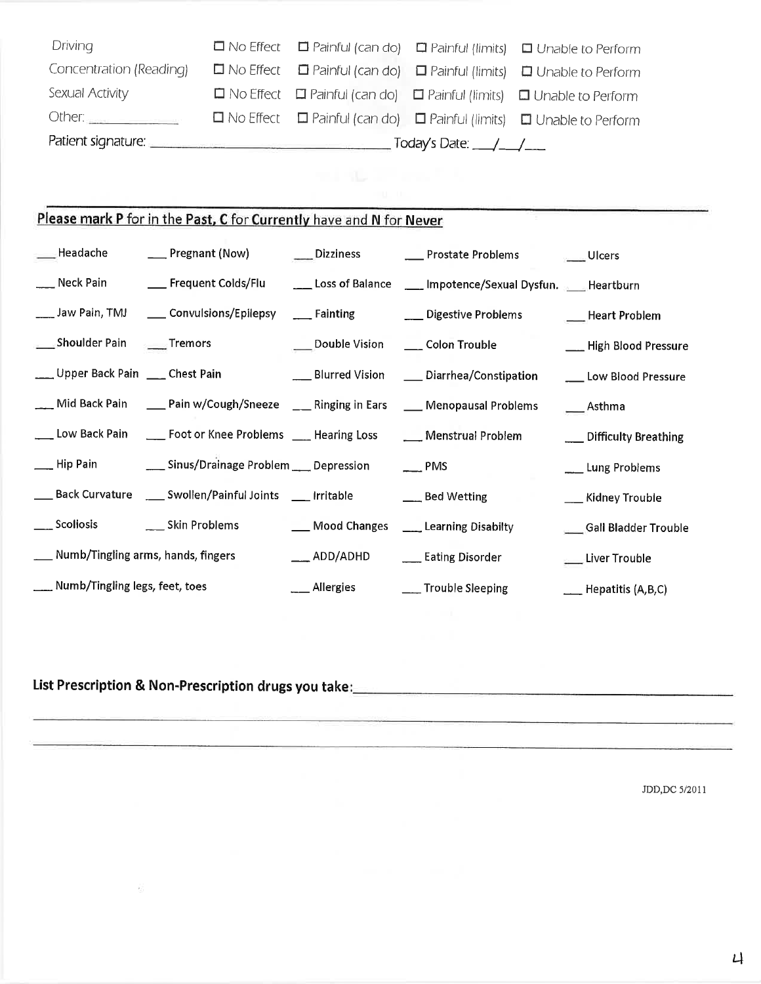| Driving                                                                                                                                                                                                                                                                                                               |  |                                                | □ No Effect □ Painful (can do) □ Painful (limits) □ Unable to Perform                     |
|-----------------------------------------------------------------------------------------------------------------------------------------------------------------------------------------------------------------------------------------------------------------------------------------------------------------------|--|------------------------------------------------|-------------------------------------------------------------------------------------------|
| Concentration (Reading)                                                                                                                                                                                                                                                                                               |  |                                                | $\Box$ No Effect $\Box$ Painful (can do) $\Box$ Painful (limits) $\Box$ Unable to Perform |
| Sexual Activity                                                                                                                                                                                                                                                                                                       |  |                                                | $\Box$ No Effect $\Box$ Painful (can do) $\Box$ Painful (limits) $\Box$ Unable to Perform |
| Other: $\frac{1}{2}$ $\frac{1}{2}$ $\frac{1}{2}$ $\frac{1}{2}$ $\frac{1}{2}$ $\frac{1}{2}$ $\frac{1}{2}$ $\frac{1}{2}$ $\frac{1}{2}$ $\frac{1}{2}$ $\frac{1}{2}$ $\frac{1}{2}$ $\frac{1}{2}$ $\frac{1}{2}$ $\frac{1}{2}$ $\frac{1}{2}$ $\frac{1}{2}$ $\frac{1}{2}$ $\frac{1}{2}$ $\frac{1}{2}$ $\frac{1}{2}$ $\frac{$ |  |                                                | $\Box$ No Effect $\Box$ Painful (can do) $\Box$ Painful (limits) $\Box$ Unable to Perform |
|                                                                                                                                                                                                                                                                                                                       |  | Today's Date: $\frac{1}{\sqrt{1-\frac{1}{2}}}$ |                                                                                           |

# Please mark P for in the Past, C for Currently have and N for Never

|                                        |                                                                                         |                      | Leadache _______ Pregnant (Now) _________ Dizziness _______________Prostate Problems ______________Ulcers |                          |
|----------------------------------------|-----------------------------------------------------------------------------------------|----------------------|-----------------------------------------------------------------------------------------------------------|--------------------------|
|                                        | Neck Pain _____________ Frequent Colds/Flu                                              | ____ Loss of Balance | ____ Impotence/Sexual Dysfun. ____ Heartburn                                                              |                          |
|                                        | ____ Jaw Pain, TMJ _____ Convulsions/Epilepsy                                           |                      | Fainting <b>Example 2</b> Digestive Problems <b>Example 2 Heart Problem</b>                               |                          |
| _____ Shoulder Pain _______ Tremors    |                                                                                         |                      | Double Vision ______ Colon Trouble                                                                        | ___ High Blood Pressure  |
|                                        |                                                                                         |                      | ____ Upper Back Pain ____ Chest Pain ________________________Blurred Vision ______ Diarrhea/Constipation  | _____ Low Blood Pressure |
|                                        |                                                                                         |                      | ___ Mid Back Pain ____ Pain w/Cough/Sneeze ___ Ringing in Ears ___ Menopausal Problems                    | ___ Asthma               |
|                                        | Low Back Pain ______ Foot or Knee Problems _____ Hearing Loss _______ Menstrual Problem |                      |                                                                                                           | __ Difficulty Breathing  |
|                                        | Hip Pain Consumer Sinus/Drainage Problem Depression Consumer PMS                        |                      |                                                                                                           | __ Lung Problems         |
|                                        | ____ Back Curvature _____ Swollen/Painful Joints ____ Irritable                         |                      | __ Bed Wetting                                                                                            | ___ Kidney Trouble       |
| ____ Scoliosis ____ ___ Skin Problems  |                                                                                         | __ Mood Changes      | ___ Learning Disabilty                                                                                    | ___ Gall Bladder Trouble |
| ___ Numb/Tingling arms, hands, fingers |                                                                                         | $\_\_\$ ADD/ADHD     | ____ Eating Disorder                                                                                      | Liver Trouble            |
| ___ Numb/Tingling legs, feet, toes     |                                                                                         | ____ Allergies       | ___ Trouble Sleeping                                                                                      | Hepatitis (A,B,C)        |

List Prescription & Non-Prescription drugs you take:<br>
List Prescription & Non-Prescription drugs you take:

65

JDD,DC 5/2011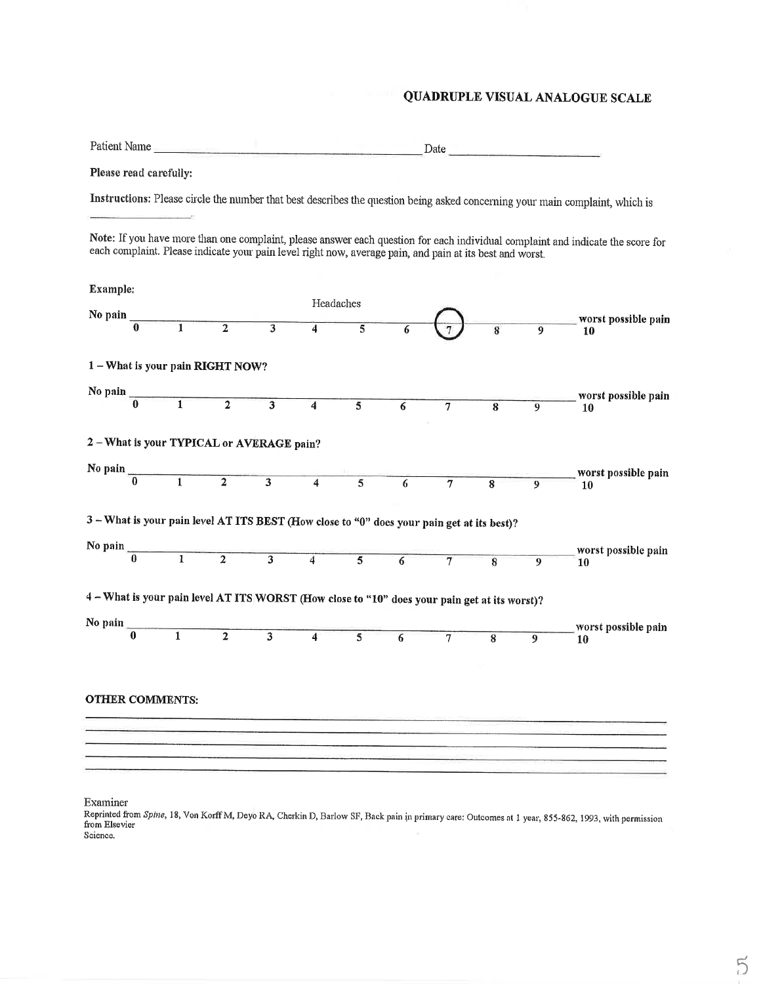# QUADRUPLE VISUAL ANALOGUE SCALE

 $\overrightarrow{D}$ 

|                       |                | Patient Name                                      |                |                                      |                         |                |                | Date                                                                                                     |                         |                  |                                                                                                                                 |
|-----------------------|----------------|---------------------------------------------------|----------------|--------------------------------------|-------------------------|----------------|----------------|----------------------------------------------------------------------------------------------------------|-------------------------|------------------|---------------------------------------------------------------------------------------------------------------------------------|
|                       |                | Please read carefully:                            |                |                                      |                         |                |                |                                                                                                          |                         |                  |                                                                                                                                 |
|                       |                |                                                   |                |                                      |                         |                |                |                                                                                                          |                         |                  | Instructions: Please circle the number that best describes the question being asked concerning your main complaint, which is    |
|                       |                |                                                   |                |                                      |                         |                |                | each complaint. Please indicate your pain level right now, average pain, and pain at its best and worst. |                         |                  | Note: If you have more than one complaint, please answer each question for each individual complaint and indicate the score for |
| Example:              |                |                                                   |                |                                      |                         |                |                |                                                                                                          |                         |                  |                                                                                                                                 |
| No pain               |                |                                                   |                |                                      |                         | Headaches      |                |                                                                                                          |                         |                  |                                                                                                                                 |
|                       | $\mathbf{0}$   | $\overline{1}$                                    | $\overline{2}$ |                                      | $\overline{4}$          | $\overline{5}$ | 6              |                                                                                                          | $\overline{\mathbf{8}}$ | $\overline{9}$   | worst possible pain<br>10                                                                                                       |
|                       |                | 1 - What is your pain RIGHT NOW?                  |                |                                      |                         |                |                |                                                                                                          |                         |                  |                                                                                                                                 |
|                       |                | No pain $\frac{1}{0}$ $\frac{1}{1}$ $\frac{2}{3}$ |                |                                      |                         |                |                |                                                                                                          |                         |                  | worst possible pain                                                                                                             |
|                       |                |                                                   |                |                                      | $\overline{4}$          | $\overline{5}$ | $\overline{6}$ | $\overline{\tau}$                                                                                        | $\overline{\bf 8}$      | 9                | 10                                                                                                                              |
|                       |                | 2 - What is your TYPICAL or AVERAGE pain?         |                |                                      |                         |                |                |                                                                                                          |                         |                  |                                                                                                                                 |
| No pain $\frac{1}{0}$ |                | $\overline{1}$                                    | $\overline{2}$ |                                      |                         |                |                |                                                                                                          |                         |                  | worst possible pain                                                                                                             |
|                       |                |                                                   |                | $\overline{3}$                       | $\overline{4}$          | 5              | $\overline{6}$ | $\overline{\tau}$                                                                                        | 8                       | $\mathbf Q$      | 10                                                                                                                              |
|                       |                |                                                   |                |                                      |                         |                |                | 3 - What is your pain level AT ITS BEST (How close to "0" does your pain get at its best)?               |                         |                  |                                                                                                                                 |
|                       |                | No pain $\frac{1}{0}$ $\frac{1}{2}$ $\frac{3}{4}$ |                |                                      |                         |                |                |                                                                                                          |                         |                  | worst possible pain                                                                                                             |
|                       |                |                                                   |                |                                      |                         | $\overline{5}$ | $\overline{6}$ | $\overline{\tau}$                                                                                        | 8                       | $\boldsymbol{9}$ | 10                                                                                                                              |
|                       |                |                                                   |                |                                      |                         |                |                | 4 - What is your pain level AT ITS WORST (How close to "10" does your pain get at its worst)?            |                         |                  |                                                                                                                                 |
| No pain               |                |                                                   |                |                                      |                         |                |                |                                                                                                          |                         |                  | worst possible pain                                                                                                             |
|                       | $\overline{0}$ | $\overline{1}$                                    | $\overline{2}$ | $\overline{\overline{\overline{3}}}$ | $\overline{\mathbf{4}}$ | 5              | 6              | $\overline{\tau}$                                                                                        | 8                       | 9 <sup>1</sup>   | 10                                                                                                                              |
|                       |                |                                                   |                |                                      |                         |                |                |                                                                                                          |                         |                  |                                                                                                                                 |
|                       |                | <b>OTHER COMMENTS:</b>                            |                |                                      |                         |                |                |                                                                                                          |                         |                  |                                                                                                                                 |
|                       |                |                                                   |                |                                      |                         |                |                |                                                                                                          |                         |                  |                                                                                                                                 |
|                       |                |                                                   |                |                                      |                         |                |                |                                                                                                          |                         |                  |                                                                                                                                 |
|                       |                |                                                   |                |                                      |                         |                |                |                                                                                                          |                         |                  |                                                                                                                                 |

Examiner'

Reprinted from S*pine*, 18, Von Korff M, Deyo RA, Cherkin D, Barlow SF, Back pain in primary care: Outcomes at 1 year, 855-862, 1993, with permissior<br>from Elsevier Science.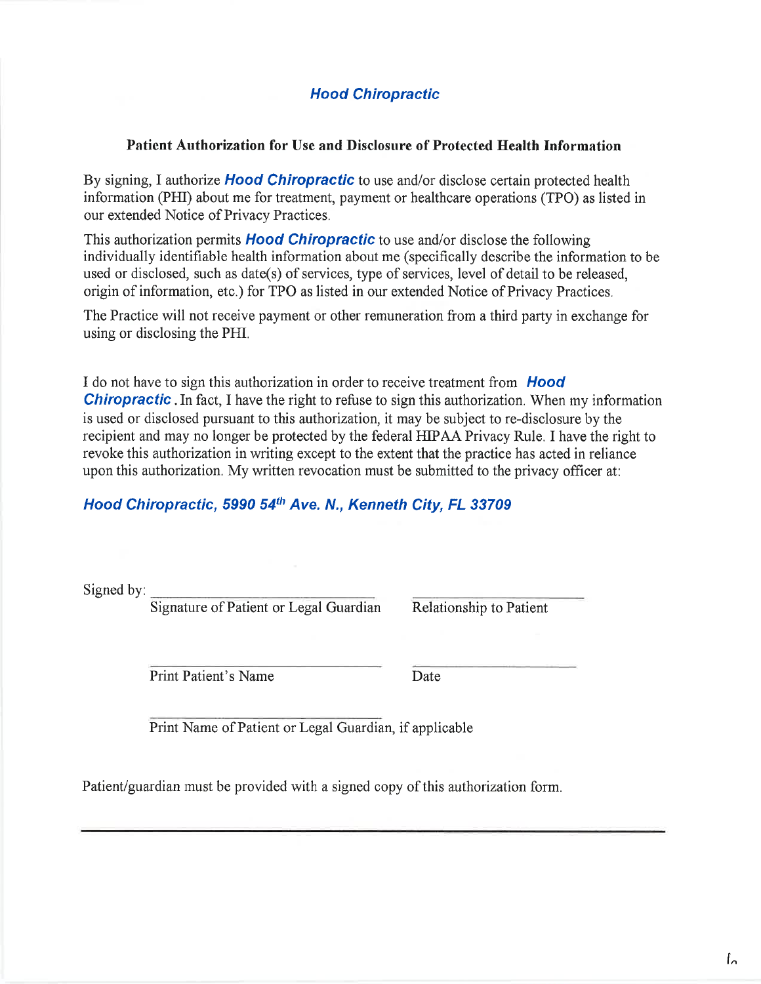# Hood Chiropractic

### Patient Authorization for Use and Disclosure of Protected Health Information

By signing, I authorize **Hood Chiropractic** to use and/or disclose certain protected health information (PHI) about me for treatment, payment or healthcare operations (TPO) as listed in our extended Notice of Privacy Practices.

This authorization permits **Hood Chiropractic** to use and/or disclose the following individually identifiable health information about me (specifically describe the information to be used or disclosed, such as date(s) of services, type of services, level of detail to be released, origin of information, etc.) for TPO as listed in our extended Notice of Privacy Practices.

The Practice will not receive payment or other remuneration from a third party in exchange for using or disclosing the PHL

I do not have to sign this authorization in order to receive treatment from **Hood Chiropractic**. In fact, I have the right to refuse to sign this authorization. When my information is used or disclosed pursuant to this authorization, it may be subject to re-disclosure by the recipient and may no longer be protected by the federal HIPAA Privacy Rule. I have the right to revoke this authorization in writing except to the extent that the practice has acted in reliance upon this authorization. My written revocation must be submitted to the privacy officer at:

# Hood Chiropractic, 5990 54<sup>th</sup> Ave. N., Kenneth City, FL 33709

Signed by:

Signature of Patient or Legal Guardian Relationship to Patient

Print Patient's Name Date

Print Name of Patient or Legal Guardian, if applicable

Patient/guardian must be provided with a signed copy of this authorization form.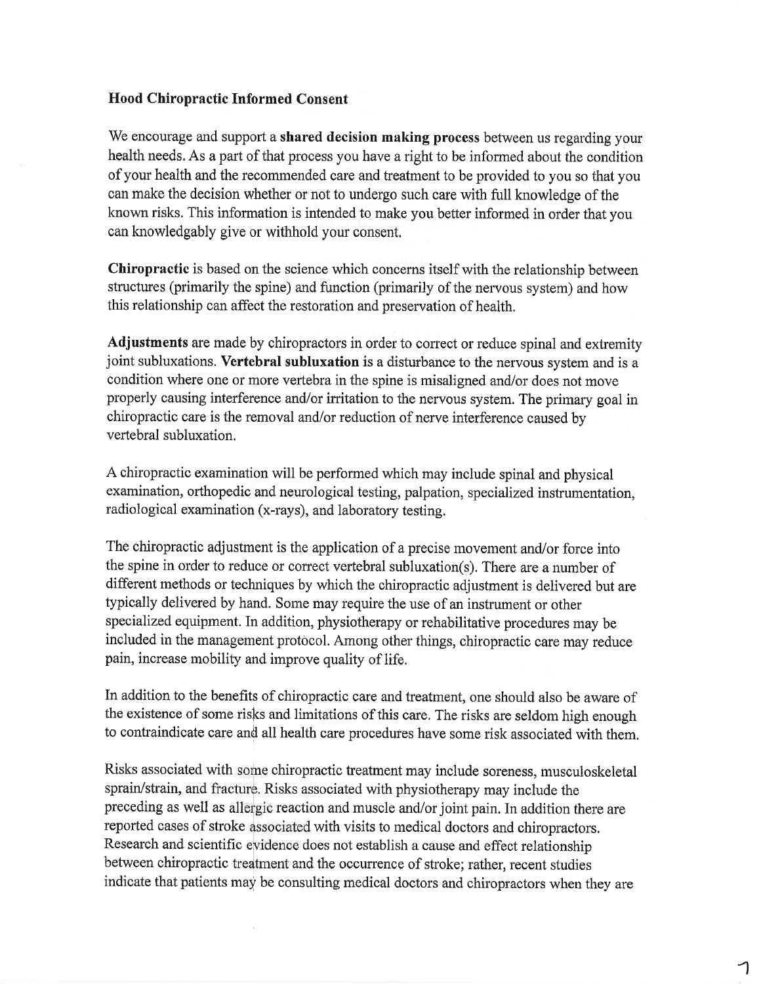#### Hood Chiropractic Informed Consent

We encourage and support a shared decision making process between us regarding your health needs. As a part of that process you have a right to be informed about the condition of your health and the recommended care and treatment to be provided to you so that you can make the decision whether or not to undergo such care with full knowledge of the known risks. This information is intended to make you better informed in order that you can knowledgably give or withhold your consent.

Chiropractic is based on the science which concerns itself with the relationship between structures (primarily the spine) and function (primarily of the nervous system) and how this relationship can affect the restoration and preservation of health.

Adjustments are made by chiropractors in order to correct or reduce spinal and extremity joint subluxations. Vertebral subluxation is a disturbance to the nervous system and is a condition where one or more vertebra in the spine is misaligned and/or does not move properly causing interference and/or irritation to the nervous system. The primary goal in chiropractic care is the removal and/or reduction of nerve interference caused by vertebral subluxation.

A chiropractic examination will be performed which may include spinal and physical examination, orthopedic and neurologioal testing, palpation, specialized instrumentation, radiological examination (x-rays), and laboratory testing.

The chiropractic adjustment is the application of a precise movement and/or force into the spine in order to reduce or correct vertebral subluxation(s). There are a number of diflerent methods or techniques by which the chiropractic adjustment is delivered but are typically delivered by hand. Some may require the use of an instrument or other specialized equipment. In addition, physiotherapy or rehabilitative procedures may be included in the management protocol. Among other things, chiropractic care may reduce pain, increase mobility and improve quality of life.

In addition to the benefits of chiropractic care and treatment, one should also be aware of the existence of some risks and limitations of this care. The risks are seldom high enough to contraindicate care and all health care procedures have some risk associated with them,

Risks associated with some chiropractic treatment may include soreness, musculoskeletal sprain/strain, and fracture. Risks associated with physiotherapy may include the preceding as well as allergic reaction and muscle and/or joint pain. In addition there are reported cases of stroke associated with visits to medical doctors and chiropractors Research and scientific evidence does not establish a cause and effect relationship between chiropractic treatment and the occurrence of stroke; rather, recent studies indicate that patients may be consulting medical doctors and chiropractors when they are

っ